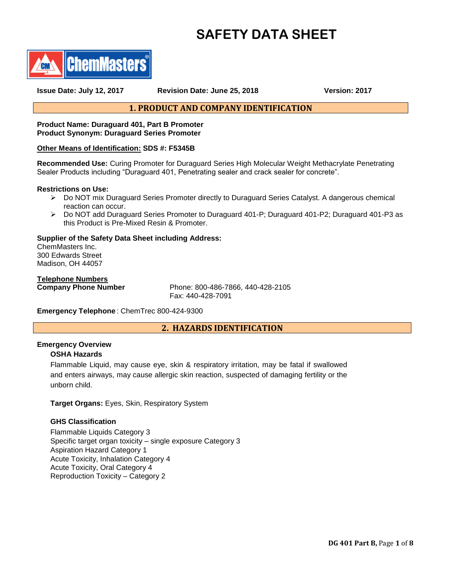# **SAFETY DATA SHEET**



**Issue Date: July 12, 2017 Revision Date: June 25, 2018 Version: 2017**

# **1. PRODUCT AND COMPANY IDENTIFICATION**

# **Product Name: Duraguard 401, Part B Promoter Product Synonym: Duraguard Series Promoter**

# **Other Means of Identification: SDS #: F5345B**

**Recommended Use:** Curing Promoter for Duraguard Series High Molecular Weight Methacrylate Penetrating Sealer Products including "Duraguard 401, Penetrating sealer and crack sealer for concrete".

## **Restrictions on Use:**

- Do NOT mix Duraguard Series Promoter directly to Duraguard Series Catalyst. A dangerous chemical reaction can occur.
- Do NOT add Duraguard Series Promoter to Duraguard 401-P; Duraguard 401-P2; Duraguard 401-P3 as this Product is Pre-Mixed Resin & Promoter.

## **Supplier of the Safety Data Sheet including Address:**

ChemMasters Inc. 300 Edwards Street Madison, OH 44057

**Telephone Numbers**

Phone: 800-486-7866, 440-428-2105 Fax: 440-428-7091

**Emergency Telephone** : ChemTrec 800-424-9300

# **2. HAZARDS IDENTIFICATION**

## **Emergency Overview**

## **OSHA Hazards**

Flammable Liquid, may cause eye, skin & respiratory irritation, may be fatal if swallowed and enters airways, may cause allergic skin reaction, suspected of damaging fertility or the unborn child.

**Target Organs:** Eyes, Skin, Respiratory System

# **GHS Classification**

Flammable Liquids Category 3 Specific target organ toxicity – single exposure Category 3 Aspiration Hazard Category 1 Acute Toxicity, Inhalation Category 4 Acute Toxicity, Oral Category 4 Reproduction Toxicity – Category 2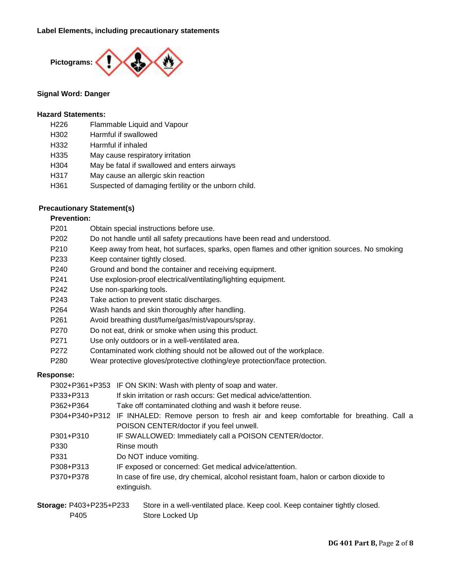

# **Signal Word: Danger**

# **Hazard Statements:**

- H226 Flammable Liquid and Vapour
- H302 Harmful if swallowed
- H332 Harmful if inhaled
- H335 May cause respiratory irritation
- H304 May be fatal if swallowed and enters airways
- H317 May cause an allergic skin reaction
- H361 Suspected of damaging fertility or the unborn child.

# **Precautionary Statement(s)**

# **Prevention:**

- P201 Obtain special instructions before use.
- P202 Do not handle until all safety precautions have been read and understood.
- P210 Keep away from heat, hot surfaces, sparks, open flames and other ignition sources. No smoking
- P233 Keep container tightly closed.
- P240 Ground and bond the container and receiving equipment.
- P241 Use explosion-proof electrical/ventilating/lighting equipment.
- P242 Use non-sparking tools.
- P243 Take action to prevent static discharges.
- P264 Wash hands and skin thoroughly after handling.
- P261 Avoid breathing dust/fume/gas/mist/vapours/spray.
- P270 Do not eat, drink or smoke when using this product.
- P271 Use only outdoors or in a well-ventilated area.
- P272 Contaminated work clothing should not be allowed out of the workplace.
- P280 Wear protective gloves/protective clothing/eye protection/face protection.

## **Response:**

P302+P361+P353 IF ON SKIN: Wash with plenty of soap and water.

- P333+P313 If skin irritation or rash occurs: Get medical advice/attention.
- P362+P364 Take off contaminated clothing and wash it before reuse.
- P304+P340+P312 IF INHALED: Remove person to fresh air and keep comfortable for breathing. Call a POISON CENTER/doctor if you feel unwell.
- P301+P310 IF SWALLOWED: Immediately call a POISON CENTER/doctor.
- P330 Rinse mouth
- P331 Do NOT induce vomiting.
- P308+P313 IF exposed or concerned: Get medical advice/attention.
- P370+P378 In case of fire use, dry chemical, alcohol resistant foam, halon or carbon dioxide to extinguish.

| <b>Storage: P403+P235+P233</b> | Store in a well-ventilated place. Keep cool. Keep container tightly closed. |
|--------------------------------|-----------------------------------------------------------------------------|
| P405                           | Store Locked Up                                                             |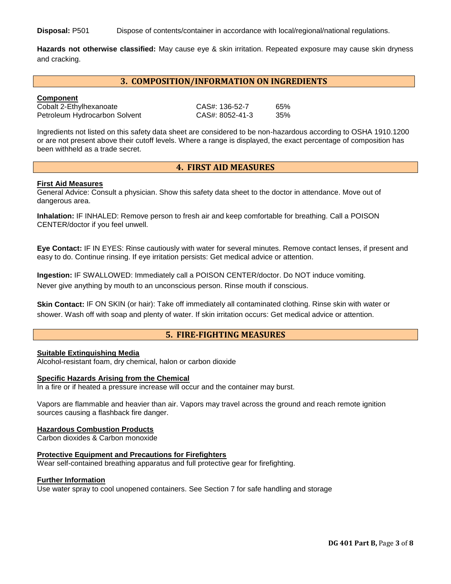**Disposal:** P501 Dispose of contents/container in accordance with local/regional/national regulations.

**Hazards not otherwise classified:** May cause eye & skin irritation. Repeated exposure may cause skin dryness and cracking.

# **3. COMPOSITION/INFORMATION ON INGREDIENTS**

## **Component**

Petroleum Hydrocarbon Solvent CAS#: 8052-41-3 35%

Cobalt 2-Ethylhexanoate CAS#: 136-52-7 65%

Ingredients not listed on this safety data sheet are considered to be non-hazardous according to OSHA 1910.1200 or are not present above their cutoff levels. Where a range is displayed, the exact percentage of composition has been withheld as a trade secret.

#### **4. FIRST AID MEASURES**

#### **First Aid Measures**

General Advice: Consult a physician. Show this safety data sheet to the doctor in attendance. Move out of dangerous area.

**Inhalation:** IF INHALED: Remove person to fresh air and keep comfortable for breathing. Call a POISON CENTER/doctor if you feel unwell.

**Eye Contact:** IF IN EYES: Rinse cautiously with water for several minutes. Remove contact lenses, if present and easy to do. Continue rinsing. If eye irritation persists: Get medical advice or attention.

**Ingestion:** IF SWALLOWED: Immediately call a POISON CENTER/doctor. Do NOT induce vomiting. Never give anything by mouth to an unconscious person. Rinse mouth if conscious.

**Skin Contact:** IF ON SKIN (or hair): Take off immediately all contaminated clothing. Rinse skin with water or shower. Wash off with soap and plenty of water. If skin irritation occurs: Get medical advice or attention.

# **5. FIRE-FIGHTING MEASURES**

## **Suitable Extinguishing Media**

Alcohol-resistant foam, dry chemical, halon or carbon dioxide

#### **Specific Hazards Arising from the Chemical**

In a fire or if heated a pressure increase will occur and the container may burst.

Vapors are flammable and heavier than air. Vapors may travel across the ground and reach remote ignition sources causing a flashback fire danger.

#### **Hazardous Combustion Products**

Carbon dioxides & Carbon monoxide

#### **Protective Equipment and Precautions for Firefighters**

Wear self-contained breathing apparatus and full protective gear for firefighting.

#### **Further Information**

Use water spray to cool unopened containers. See Section 7 for safe handling and storage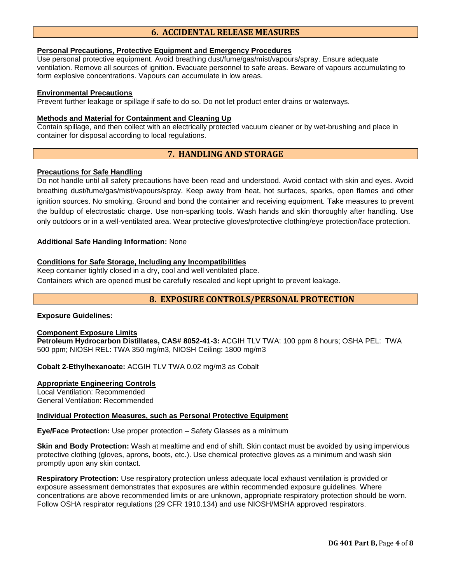# **6. ACCIDENTAL RELEASE MEASURES**

## **Personal Precautions, Protective Equipment and Emergency Procedures**

Use personal protective equipment. Avoid breathing dust/fume/gas/mist/vapours/spray. Ensure adequate ventilation. Remove all sources of ignition. Evacuate personnel to safe areas. Beware of vapours accumulating to form explosive concentrations. Vapours can accumulate in low areas.

## **Environmental Precautions**

Prevent further leakage or spillage if safe to do so. Do not let product enter drains or waterways.

## **Methods and Material for Containment and Cleaning Up**

Contain spillage, and then collect with an electrically protected vacuum cleaner or by wet-brushing and place in container for disposal according to local regulations.

# **7. HANDLING AND STORAGE**

## **Precautions for Safe Handling**

Do not handle until all safety precautions have been read and understood. Avoid contact with skin and eyes. Avoid breathing dust/fume/gas/mist/vapours/spray. Keep away from heat, hot surfaces, sparks, open flames and other ignition sources. No smoking. Ground and bond the container and receiving equipment. Take measures to prevent the buildup of electrostatic charge. Use non-sparking tools. Wash hands and skin thoroughly after handling. Use only outdoors or in a well-ventilated area. Wear protective gloves/protective clothing/eye protection/face protection.

## **Additional Safe Handing Information:** None

# **Conditions for Safe Storage, Including any Incompatibilities**

Keep container tightly closed in a dry, cool and well ventilated place. Containers which are opened must be carefully resealed and kept upright to prevent leakage.

# **8. EXPOSURE CONTROLS/PERSONAL PROTECTION**

#### **Exposure Guidelines:**

## **Component Exposure Limits**

**Petroleum Hydrocarbon Distillates, CAS# 8052-41-3:** ACGIH TLV TWA: 100 ppm 8 hours; OSHA PEL: TWA 500 ppm; NIOSH REL: TWA 350 mg/m3, NIOSH Ceiling: 1800 mg/m3

**Cobalt 2-Ethylhexanoate:** ACGIH TLV TWA 0.02 mg/m3 as Cobalt

#### **Appropriate Engineering Controls**

Local Ventilation: Recommended General Ventilation: Recommended

# **Individual Protection Measures, such as Personal Protective Equipment**

**Eye/Face Protection:** Use proper protection – Safety Glasses as a minimum

**Skin and Body Protection:** Wash at mealtime and end of shift. Skin contact must be avoided by using impervious protective clothing (gloves, aprons, boots, etc.). Use chemical protective gloves as a minimum and wash skin promptly upon any skin contact.

**Respiratory Protection:** Use respiratory protection unless adequate local exhaust ventilation is provided or exposure assessment demonstrates that exposures are within recommended exposure guidelines. Where concentrations are above recommended limits or are unknown, appropriate respiratory protection should be worn. Follow OSHA respirator regulations (29 CFR 1910.134) and use NIOSH/MSHA approved respirators.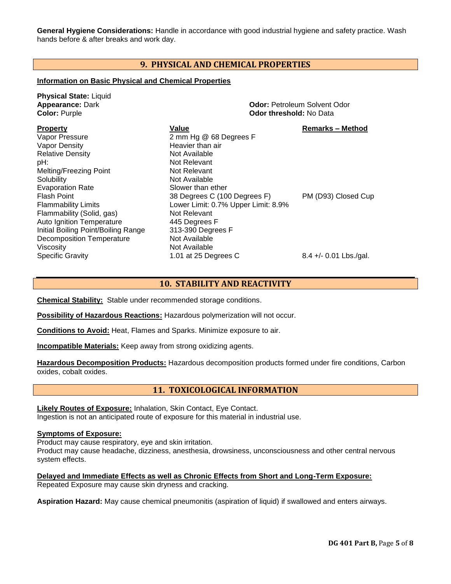**General Hygiene Considerations:** Handle in accordance with good industrial hygiene and safety practice. Wash hands before & after breaks and work day.

# **9. PHYSICAL AND CHEMICAL PROPERTIES**

# **Information on Basic Physical and Chemical Properties**

| <b>Physical State: Liquid</b><br><b>Appearance: Dark</b><br><b>Color: Purple</b>                                                                                                                          |                                                                                                                                                             | <b>Odor: Petroleum Solvent Odor</b><br><b>Odor threshold: No Data</b> |  |
|-----------------------------------------------------------------------------------------------------------------------------------------------------------------------------------------------------------|-------------------------------------------------------------------------------------------------------------------------------------------------------------|-----------------------------------------------------------------------|--|
| <b>Property</b><br>Vapor Pressure<br>Vapor Density<br><b>Relative Density</b><br>pH:<br>Melting/Freezing Point<br>Solubility<br><b>Evaporation Rate</b>                                                   | Value<br>2 mm Hg @ 68 Degrees F<br>Heavier than air<br>Not Available<br>Not Relevant<br>Not Relevant<br>Not Available<br>Slower than ether                  | <b>Remarks - Method</b>                                               |  |
| <b>Flash Point</b><br><b>Flammability Limits</b><br>Flammability (Solid, gas)<br><b>Auto Ignition Temperature</b><br>Initial Boiling Point/Boiling Range<br><b>Decomposition Temperature</b><br>Viscosity | 38 Degrees C (100 Degrees F)<br>Lower Limit: 0.7% Upper Limit: 8.9%<br>Not Relevant<br>445 Degrees F<br>313-390 Degrees F<br>Not Available<br>Not Available | PM (D93) Closed Cup                                                   |  |
| <b>Specific Gravity</b>                                                                                                                                                                                   | 1.01 at 25 Degrees C                                                                                                                                        | $8.4 +/- 0.01$ Lbs./gal.                                              |  |

# **10. STABILITY AND REACTIVITY**

**Chemical Stability:** Stable under recommended storage conditions.

**Possibility of Hazardous Reactions:** Hazardous polymerization will not occur.

**Conditions to Avoid:** Heat, Flames and Sparks. Minimize exposure to air.

**Incompatible Materials:** Keep away from strong oxidizing agents.

**Hazardous Decomposition Products:** Hazardous decomposition products formed under fire conditions, Carbon oxides, cobalt oxides.

# **11. TOXICOLOGICAL INFORMATION**

**Likely Routes of Exposure:** Inhalation, Skin Contact, Eye Contact. Ingestion is not an anticipated route of exposure for this material in industrial use.

## **Symptoms of Exposure:**

Product may cause respiratory, eye and skin irritation.

Product may cause headache, dizziness, anesthesia, drowsiness, unconsciousness and other central nervous system effects.

**Delayed and Immediate Effects as well as Chronic Effects from Short and Long-Term Exposure:** Repeated Exposure may cause skin dryness and cracking.

**Aspiration Hazard:** May cause chemical pneumonitis (aspiration of liquid) if swallowed and enters airways.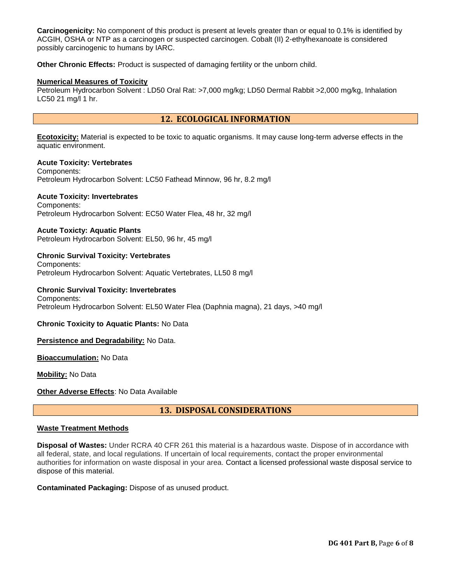**Carcinogenicity:** No component of this product is present at levels greater than or equal to 0.1% is identified by ACGIH, OSHA or NTP as a carcinogen or suspected carcinogen. Cobalt (II) 2-ethylhexanoate is considered possibly carcinogenic to humans by IARC.

**Other Chronic Effects:** Product is suspected of damaging fertility or the unborn child.

## **Numerical Measures of Toxicity**

Petroleum Hydrocarbon Solvent : LD50 Oral Rat: >7,000 mg/kg; LD50 Dermal Rabbit >2,000 mg/kg, Inhalation LC50 21 mg/l 1 hr.

# **12. ECOLOGICAL INFORMATION**

**Ecotoxicity:** Material is expected to be toxic to aquatic organisms. It may cause long-term adverse effects in the aquatic environment.

**Acute Toxicity: Vertebrates** Components: Petroleum Hydrocarbon Solvent: LC50 Fathead Minnow, 96 hr, 8.2 mg/l

## **Acute Toxicity: Invertebrates**

Components: Petroleum Hydrocarbon Solvent: EC50 Water Flea, 48 hr, 32 mg/l

## **Acute Toxicty: Aquatic Plants**

Petroleum Hydrocarbon Solvent: EL50, 96 hr, 45 mg/l

# **Chronic Survival Toxicity: Vertebrates**

Components: Petroleum Hydrocarbon Solvent: Aquatic Vertebrates, LL50 8 mg/l

## **Chronic Survival Toxicity: Invertebrates**

Petroleum Hydrocarbon Solvent: EL50 Water Flea (Daphnia magna), 21 days, >40 mg/l

#### **Chronic Toxicity to Aquatic Plants:** No Data

#### **Persistence and Degradability:** No Data.

**Bioaccumulation:** No Data

**Mobility:** No Data

Components:

**Other Adverse Effects**: No Data Available

# **13. DISPOSAL CONSIDERATIONS**

## **Waste Treatment Methods**

**Disposal of Wastes:** Under RCRA 40 CFR 261 this material is a hazardous waste. Dispose of in accordance with all federal, state, and local regulations. If uncertain of local requirements, contact the proper environmental authorities for information on waste disposal in your area. Contact a licensed professional waste disposal service to dispose of this material.

#### **Contaminated Packaging:** Dispose of as unused product.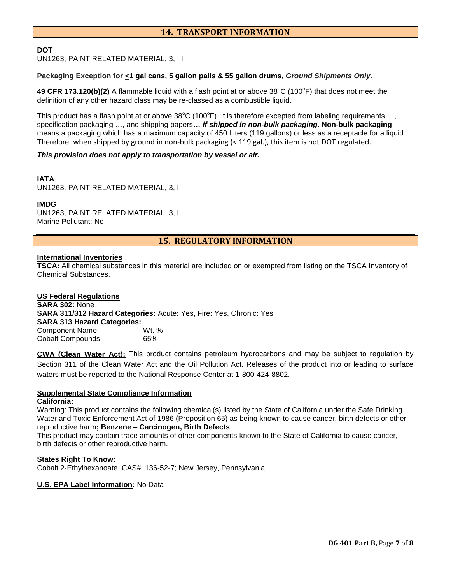# **14. TRANSPORT INFORMATION**

## **DOT**

UN1263, PAINT RELATED MATERIAL, 3, III

## **Packaging Exception for <1 gal cans, 5 gallon pails & 55 gallon drums,** *Ground Shipments Only***.**

49 CFR 173.120(b)(2) A flammable liquid with a flash point at or above 38<sup>°</sup>C (100<sup>°</sup>F) that does not meet the definition of any other hazard class may be re-classed as a combustible liquid.

This product has a flash point at or above  $38^{\circ}$ C (100 $^{\circ}$ F). It is therefore excepted from labeling requirements ..., specification packaging …, and shipping papers*… if shipped in non-bulk packaging*. **Non-bulk packaging** means a packaging which has a maximum capacity of 450 Liters (119 gallons) or less as a receptacle for a liquid. Therefore, when shipped by ground in non-bulk packaging (< 119 gal.), this item is not DOT regulated.

#### *This provision does not apply to transportation by vessel or air.*

# **IATA**

UN1263, PAINT RELATED MATERIAL, 3, III

## **IMDG**

UN1263, PAINT RELATED MATERIAL, 3, III Marine Pollutant: No

**15. REGULATORY INFORMATION**

## **International Inventories**

**TSCA:** All chemical substances in this material are included on or exempted from listing on the TSCA Inventory of Chemical Substances.

**US Federal Regulations SARA 302:** None **SARA 311/312 Hazard Categories:** Acute: Yes, Fire: Yes, Chronic: Yes **SARA 313 Hazard Categories:** Component Name Wt. %

Cobalt Compounds 65%

**CWA (Clean Water Act):** This product contains petroleum hydrocarbons and may be subject to regulation by Section 311 of the Clean Water Act and the Oil Pollution Act. Releases of the product into or leading to surface waters must be reported to the National Response Center at 1-800-424-8802.

#### **Supplemental State Compliance Information**

#### **California:**

Warning: This product contains the following chemical(s) listed by the State of California under the Safe Drinking Water and Toxic Enforcement Act of 1986 (Proposition 65) as being known to cause cancer, birth defects or other reproductive harm**; Benzene – Carcinogen, Birth Defects**

This product may contain trace amounts of other components known to the State of California to cause cancer, birth defects or other reproductive harm.

#### **States Right To Know:** Cobalt 2-Ethylhexanoate, CAS#: 136-52-7; New Jersey, Pennsylvania

## **U.S. EPA Label Information:** No Data